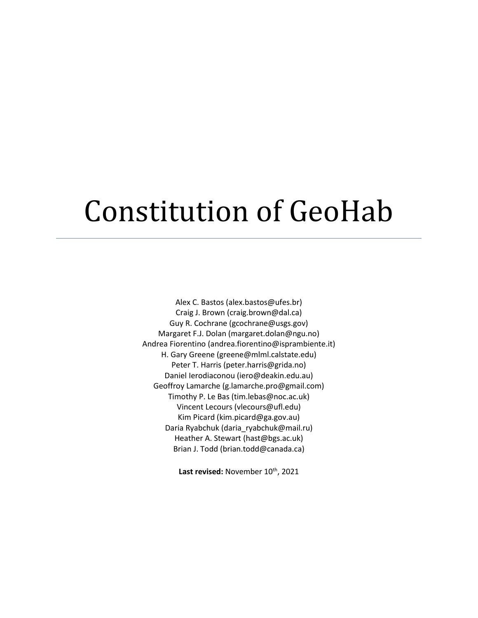# Constitution of GeoHab

Alex C. Bastos (alex.bastos@ufes.br) Craig J. Brown (craig.brown@dal.ca) Guy R. Cochrane (gcochrane@usgs.gov) Margaret F.J. Dolan (margaret.dolan@ngu.no) Andrea Fiorentino (andrea.fiorentino@isprambiente.it) H. Gary Greene (greene@mlml.calstate.edu) Peter T. Harris (peter.harris@grida.no) Daniel Ierodiaconou (iero@deakin.edu.au) Geoffroy Lamarche (g.lamarche.pro@gmail.com) Timothy P. Le Bas (tim.lebas@noc.ac.uk) Vincent Lecours (vlecours@ufl.edu) Kim Picard (kim.picard@ga.gov.au) Daria Ryabchuk (daria\_ryabchuk@mail.ru) Heather A. Stewart (hast@bgs.ac.uk) Brian J. Todd (brian.todd@canada.ca)

Last revised: November 10<sup>th</sup>, 2021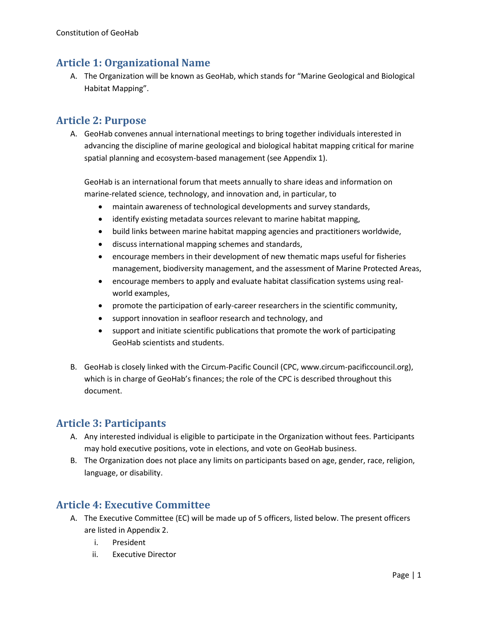## **Article 1: Organizational Name**

A. The Organization will be known as GeoHab, which stands for "Marine Geological and Biological Habitat Mapping".

## **Article 2: Purpose**

A. GeoHab convenes annual international meetings to bring together individuals interested in advancing the discipline of marine geological and biological habitat mapping critical for marine spatial planning and ecosystem-based management (see Appendix 1).

GeoHab is an international forum that meets annually to share ideas and information on marine-related science, technology, and innovation and, in particular, to

- maintain awareness of technological developments and survey standards,
- identify existing metadata sources relevant to marine habitat mapping,
- build links between marine habitat mapping agencies and practitioners worldwide,
- discuss international mapping schemes and standards,
- encourage members in their development of new thematic maps useful for fisheries management, biodiversity management, and the assessment of Marine Protected Areas,
- encourage members to apply and evaluate habitat classification systems using realworld examples,
- promote the participation of early-career researchers in the scientific community,
- support innovation in seafloor research and technology, and
- support and initiate scientific publications that promote the work of participating GeoHab scientists and students.
- B. GeoHab is closely linked with the Circum-Pacific Council (CPC, www.circum-pacificcouncil.org), which is in charge of GeoHab's finances; the role of the CPC is described throughout this document.

## **Article 3: Participants**

- A. Any interested individual is eligible to participate in the Organization without fees. Participants may hold executive positions, vote in elections, and vote on GeoHab business.
- B. The Organization does not place any limits on participants based on age, gender, race, religion, language, or disability.

## **Article 4: Executive Committee**

- A. The Executive Committee (EC) will be made up of 5 officers, listed below. The present officers are listed in Appendix 2.
	- i. President
	- ii. Executive Director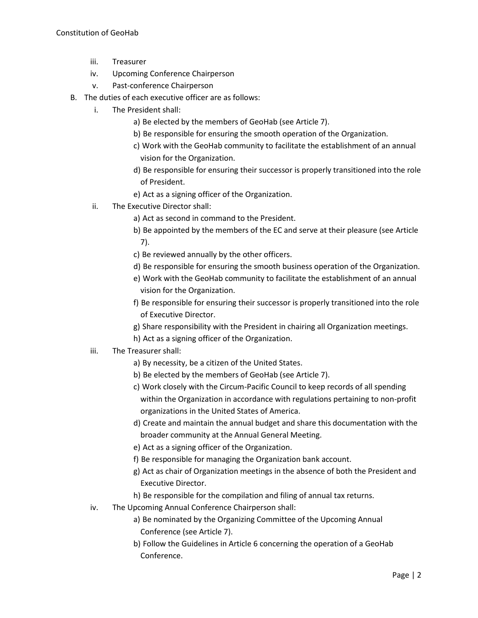- iii. Treasurer
- iv. Upcoming Conference Chairperson
- v. Past-conference Chairperson
- B. The duties of each executive officer are as follows:
	- i. The President shall:
		- a) Be elected by the members of GeoHab (see Article 7).
		- b) Be responsible for ensuring the smooth operation of the Organization.
		- c) Work with the GeoHab community to facilitate the establishment of an annual vision for the Organization.
		- d) Be responsible for ensuring their successor is properly transitioned into the role of President.
		- e) Act as a signing officer of the Organization.
	- ii. The Executive Director shall:
		- a) Act as second in command to the President.
		- b) Be appointed by the members of the EC and serve at their pleasure (see Article 7).
		- c) Be reviewed annually by the other officers.
		- d) Be responsible for ensuring the smooth business operation of the Organization.
		- e) Work with the GeoHab community to facilitate the establishment of an annual vision for the Organization.
		- f) Be responsible for ensuring their successor is properly transitioned into the role of Executive Director.
		- g) Share responsibility with the President in chairing all Organization meetings.
		- h) Act as a signing officer of the Organization.

#### iii. The Treasurer shall:

- a) By necessity, be a citizen of the United States.
- b) Be elected by the members of GeoHab (see Article 7).
- c) Work closely with the Circum-Pacific Council to keep records of all spending within the Organization in accordance with regulations pertaining to non-profit organizations in the United States of America.
- d) Create and maintain the annual budget and share this documentation with the broader community at the Annual General Meeting.
- e) Act as a signing officer of the Organization.
- f) Be responsible for managing the Organization bank account.
- g) Act as chair of Organization meetings in the absence of both the President and Executive Director.
- h) Be responsible for the compilation and filing of annual tax returns.
- iv. The Upcoming Annual Conference Chairperson shall:
	- a) Be nominated by the Organizing Committee of the Upcoming Annual Conference (see Article 7).
	- b) Follow the Guidelines in Article 6 concerning the operation of a GeoHab Conference.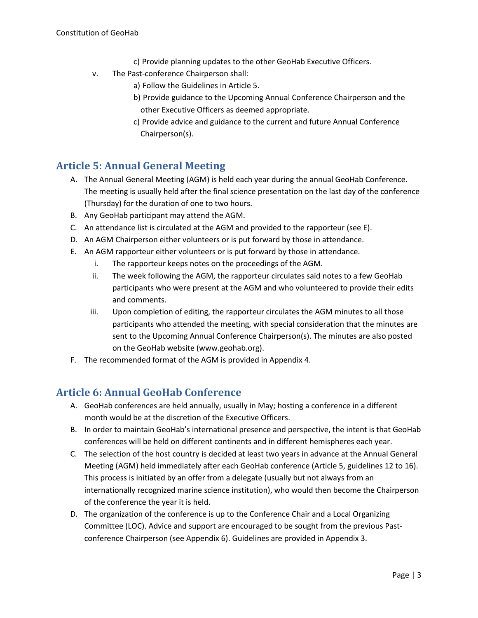- c) Provide planning updates to the other GeoHab Executive Officers.
- v. The Past-conference Chairperson shall:
	- a) Follow the Guidelines in Article 5.
	- b) Provide guidance to the Upcoming Annual Conference Chairperson and the other Executive Officers as deemed appropriate.
	- c) Provide advice and guidance to the current and future Annual Conference Chairperson(s).

## **Article 5: Annual General Meeting**

- A. The Annual General Meeting (AGM) is held each year during the annual GeoHab Conference. The meeting is usually held after the final science presentation on the last day of the conference (Thursday) for the duration of one to two hours.
- B. Any GeoHab participant may attend the AGM.
- C. An attendance list is circulated at the AGM and provided to the rapporteur (see E).
- D. An AGM Chairperson either volunteers or is put forward by those in attendance.
- E. An AGM rapporteur either volunteers or is put forward by those in attendance.
	- i. The rapporteur keeps notes on the proceedings of the AGM.
	- ii. The week following the AGM, the rapporteur circulates said notes to a few GeoHab participants who were present at the AGM and who volunteered to provide their edits and comments.
	- iii. Upon completion of editing, the rapporteur circulates the AGM minutes to all those participants who attended the meeting, with special consideration that the minutes are sent to the Upcoming Annual Conference Chairperson(s). The minutes are also posted on the GeoHab website (www.geohab.org).
- F. The recommended format of the AGM is provided in Appendix 4.

## **Article 6: Annual GeoHab Conference**

- A. GeoHab conferences are held annually, usually in May; hosting a conference in a different month would be at the discretion of the Executive Officers.
- B. In order to maintain GeoHab's international presence and perspective, the intent is that GeoHab conferences will be held on different continents and in different hemispheres each year.
- C. The selection of the host country is decided at least two years in advance at the Annual General Meeting (AGM) held immediately after each GeoHab conference (Article 5, guidelines 12 to 16). This process is initiated by an offer from a delegate (usually but not always from an internationally recognized marine science institution), who would then become the Chairperson of the conference the year it is held.
- D. The organization of the conference is up to the Conference Chair and a Local Organizing Committee (LOC). Advice and support are encouraged to be sought from the previous Pastconference Chairperson (see Appendix 6). Guidelines are provided in Appendix 3.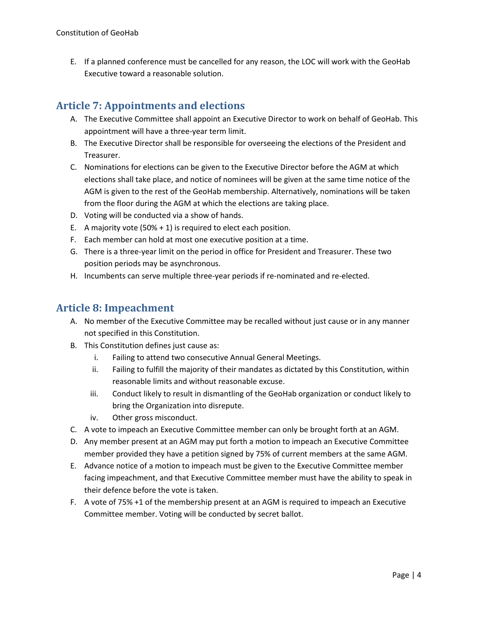E. If a planned conference must be cancelled for any reason, the LOC will work with the GeoHab Executive toward a reasonable solution.

## **Article 7: Appointments and elections**

- A. The Executive Committee shall appoint an Executive Director to work on behalf of GeoHab. This appointment will have a three-year term limit.
- B. The Executive Director shall be responsible for overseeing the elections of the President and Treasurer.
- C. Nominations for elections can be given to the Executive Director before the AGM at which elections shall take place, and notice of nominees will be given at the same time notice of the AGM is given to the rest of the GeoHab membership. Alternatively, nominations will be taken from the floor during the AGM at which the elections are taking place.
- D. Voting will be conducted via a show of hands.
- E. A majority vote (50% + 1) is required to elect each position.
- F. Each member can hold at most one executive position at a time.
- G. There is a three-year limit on the period in office for President and Treasurer. These two position periods may be asynchronous.
- H. Incumbents can serve multiple three-year periods if re-nominated and re-elected.

## **Article 8: Impeachment**

- A. No member of the Executive Committee may be recalled without just cause or in any manner not specified in this Constitution.
- B. This Constitution defines just cause as:
	- i. Failing to attend two consecutive Annual General Meetings.
	- ii. Failing to fulfill the majority of their mandates as dictated by this Constitution, within reasonable limits and without reasonable excuse.
	- iii. Conduct likely to result in dismantling of the GeoHab organization or conduct likely to bring the Organization into disrepute.
	- iv. Other gross misconduct.
- C. A vote to impeach an Executive Committee member can only be brought forth at an AGM.
- D. Any member present at an AGM may put forth a motion to impeach an Executive Committee member provided they have a petition signed by 75% of current members at the same AGM.
- E. Advance notice of a motion to impeach must be given to the Executive Committee member facing impeachment, and that Executive Committee member must have the ability to speak in their defence before the vote is taken.
- F. A vote of 75% +1 of the membership present at an AGM is required to impeach an Executive Committee member. Voting will be conducted by secret ballot.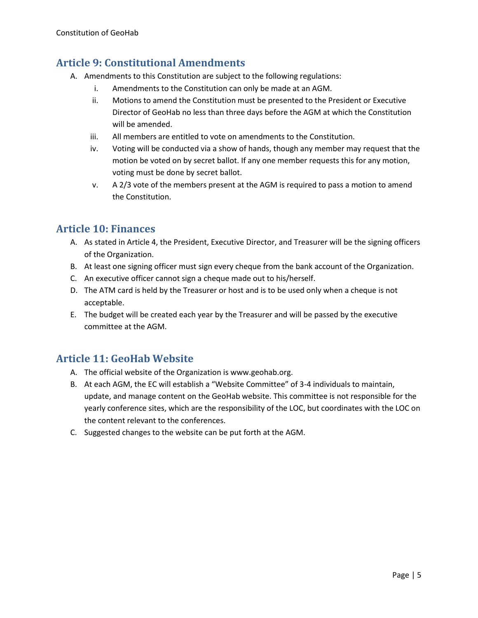## **Article 9: Constitutional Amendments**

- A. Amendments to this Constitution are subject to the following regulations:
	- i. Amendments to the Constitution can only be made at an AGM.
	- ii. Motions to amend the Constitution must be presented to the President or Executive Director of GeoHab no less than three days before the AGM at which the Constitution will be amended.
	- iii. All members are entitled to vote on amendments to the Constitution.
	- iv. Voting will be conducted via a show of hands, though any member may request that the motion be voted on by secret ballot. If any one member requests this for any motion, voting must be done by secret ballot.
	- v. A 2/3 vote of the members present at the AGM is required to pass a motion to amend the Constitution.

## **Article 10: Finances**

- A. As stated in Article 4, the President, Executive Director, and Treasurer will be the signing officers of the Organization.
- B. At least one signing officer must sign every cheque from the bank account of the Organization.
- C. An executive officer cannot sign a cheque made out to his/herself.
- D. The ATM card is held by the Treasurer or host and is to be used only when a cheque is not acceptable.
- E. The budget will be created each year by the Treasurer and will be passed by the executive committee at the AGM.

## **Article 11: GeoHab Website**

- A. The official website of the Organization is www.geohab.org.
- B. At each AGM, the EC will establish a "Website Committee" of 3-4 individuals to maintain, update, and manage content on the GeoHab website. This committee is not responsible for the yearly conference sites, which are the responsibility of the LOC, but coordinates with the LOC on the content relevant to the conferences.
- C. Suggested changes to the website can be put forth at the AGM.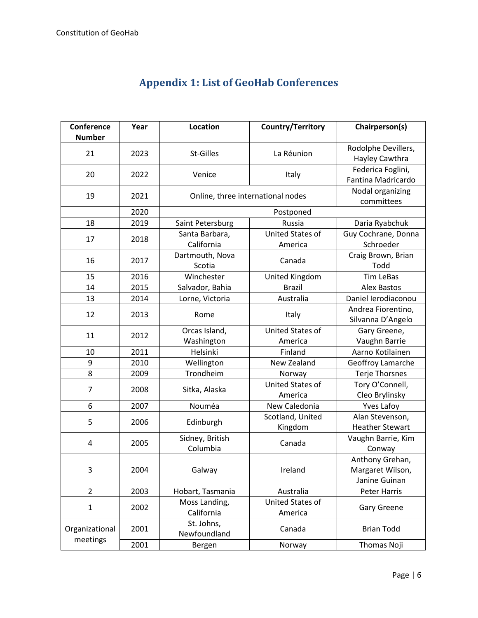| Conference<br><b>Number</b> | Year | <b>Location</b>                   | Country/Territory                  | Chairperson(s)                                       |
|-----------------------------|------|-----------------------------------|------------------------------------|------------------------------------------------------|
| 21                          | 2023 | St-Gilles                         | La Réunion                         | Rodolphe Devillers,<br>Hayley Cawthra                |
| 20                          | 2022 | Venice                            | Italy                              | Federica Foglini,<br>Fantina Madricardo              |
| 19                          | 2021 | Online, three international nodes |                                    | Nodal organizing<br>committees                       |
|                             | 2020 |                                   | Postponed                          |                                                      |
| 18                          | 2019 | Saint Petersburg                  | Russia                             | Daria Ryabchuk                                       |
| 17                          | 2018 | Santa Barbara,<br>California      | <b>United States of</b><br>America | Guy Cochrane, Donna<br>Schroeder                     |
| 16                          | 2017 | Dartmouth, Nova<br>Scotia         | Canada                             | Craig Brown, Brian<br>Todd                           |
| 15                          | 2016 | Winchester                        | United Kingdom                     | <b>Tim LeBas</b>                                     |
| 14                          | 2015 | Salvador, Bahia                   | <b>Brazil</b>                      | <b>Alex Bastos</b>                                   |
| 13                          | 2014 | Lorne, Victoria                   | Australia                          | Daniel Ierodiaconou                                  |
| 12                          | 2013 | Rome                              | Italy                              | Andrea Fiorentino,<br>Silvanna D'Angelo              |
| 11                          | 2012 | Orcas Island,<br>Washington       | United States of<br>America        | Gary Greene,<br>Vaughn Barrie                        |
| 10                          | 2011 | Helsinki                          | Finland                            | Aarno Kotilainen                                     |
| 9                           | 2010 | Wellington                        | New Zealand                        | Geoffroy Lamarche                                    |
| 8                           | 2009 | Trondheim                         | Norway                             | <b>Terje Thorsnes</b>                                |
| 7                           | 2008 | Sitka, Alaska                     | United States of<br>America        | Tory O'Connell,<br>Cleo Brylinsky                    |
| 6                           | 2007 | Nouméa                            | New Caledonia                      | <b>Yves Lafoy</b>                                    |
| 5                           | 2006 | Edinburgh                         | Scotland, United<br>Kingdom        | Alan Stevenson,<br><b>Heather Stewart</b>            |
| 4                           | 2005 | Sidney, British<br>Columbia       | Canada                             | Vaughn Barrie, Kim<br>Conway                         |
| 3                           | 2004 | Galway                            | Ireland                            | Anthony Grehan,<br>Margaret Wilson,<br>Janine Guinan |
| $\overline{2}$              | 2003 | Hobart, Tasmania                  | Australia                          | <b>Peter Harris</b>                                  |
| $\mathbf{1}$                | 2002 | Moss Landing,<br>California       | United States of<br>America        | Gary Greene                                          |
| Organizational<br>meetings  | 2001 | St. Johns,<br>Newfoundland        | Canada                             | <b>Brian Todd</b>                                    |
|                             | 2001 | Bergen                            | Norway                             | Thomas Noji                                          |

# **Appendix 1: List of GeoHab Conferences**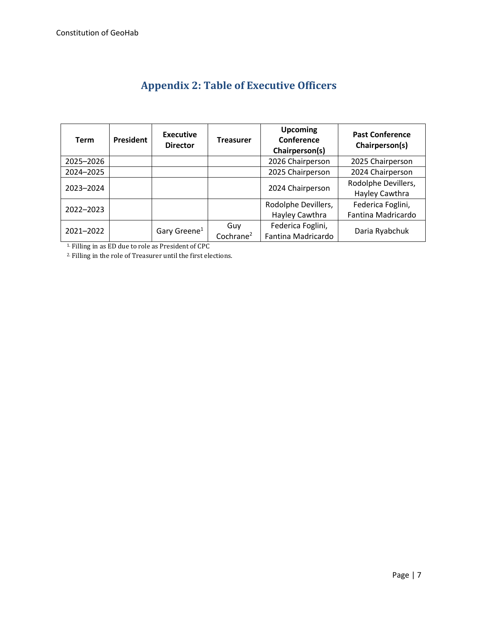| <b>Term</b> | President | <b>Executive</b><br><b>Director</b> | <b>Treasurer</b>      | <b>Upcoming</b><br>Conference<br>Chairperson(s) | <b>Past Conference</b><br>Chairperson(s) |
|-------------|-----------|-------------------------------------|-----------------------|-------------------------------------------------|------------------------------------------|
| 2025-2026   |           |                                     |                       | 2026 Chairperson                                | 2025 Chairperson                         |
| 2024-2025   |           |                                     |                       | 2025 Chairperson                                | 2024 Chairperson                         |
| 2023-2024   |           |                                     |                       | 2024 Chairperson                                | Rodolphe Devillers,<br>Hayley Cawthra    |
| 2022-2023   |           |                                     |                       | Rodolphe Devillers,                             | Federica Foglini,                        |
|             |           |                                     |                       | Hayley Cawthra                                  | Fantina Madricardo                       |
| 2021-2022   |           | Gary Greene <sup>1</sup>            | Guy                   | Federica Foglini,                               | Daria Ryabchuk                           |
|             |           |                                     | Cochrane <sup>2</sup> | Fantina Madricardo                              |                                          |

## **Appendix 2: Table of Executive Officers**

1. Filling in as ED due to role as President of CPC

2. Filling in the role of Treasurer until the first elections.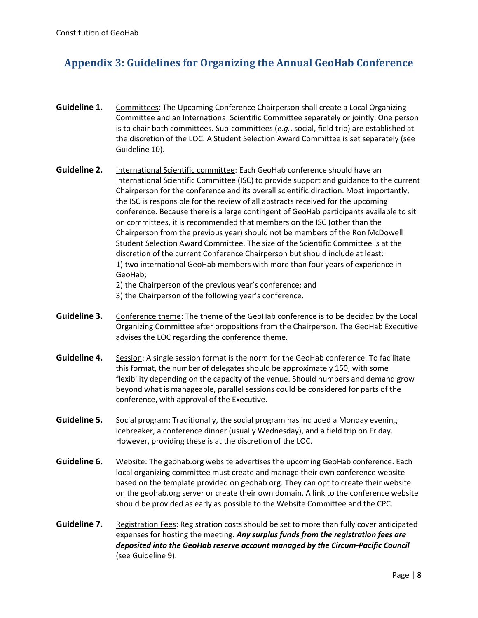## **Appendix 3: Guidelines for Organizing the Annual GeoHab Conference**

- **Guideline 1.** Committees: The Upcoming Conference Chairperson shall create a Local Organizing Committee and an International Scientific Committee separately or jointly. One person is to chair both committees. Sub-committees (*e.g.*, social, field trip) are established at the discretion of the LOC. A Student Selection Award Committee is set separately (see Guideline 10).
- **Guideline 2.** International Scientific committee: Each GeoHab conference should have an International Scientific Committee (ISC) to provide support and guidance to the current Chairperson for the conference and its overall scientific direction. Most importantly, the ISC is responsible for the review of all abstracts received for the upcoming conference. Because there is a large contingent of GeoHab participants available to sit on committees, it is recommended that members on the ISC (other than the Chairperson from the previous year) should not be members of the Ron McDowell Student Selection Award Committee. The size of the Scientific Committee is at the discretion of the current Conference Chairperson but should include at least: 1) two international GeoHab members with more than four years of experience in GeoHab;

2) the Chairperson of the previous year's conference; and

3) the Chairperson of the following year's conference.

- Guideline 3. Conference theme: The theme of the GeoHab conference is to be decided by the Local Organizing Committee after propositions from the Chairperson. The GeoHab Executive advises the LOC regarding the conference theme.
- **Guideline 4.** Session: A single session format is the norm for the GeoHab conference. To facilitate this format, the number of delegates should be approximately 150, with some flexibility depending on the capacity of the venue. Should numbers and demand grow beyond what is manageable, parallel sessions could be considered for parts of the conference, with approval of the Executive.
- **Guideline 5.** Social program: Traditionally, the social program has included a Monday evening icebreaker, a conference dinner (usually Wednesday), and a field trip on Friday. However, providing these is at the discretion of the LOC.
- **Guideline 6.** Website: The geohab.org website advertises the upcoming GeoHab conference. Each local organizing committee must create and manage their own conference website based on the template provided on geohab.org. They can opt to create their website on the geohab.org server or create their own domain. A link to the conference website should be provided as early as possible to the Website Committee and the CPC.
- **Guideline 7.** Registration Fees: Registration costs should be set to more than fully cover anticipated expenses for hosting the meeting. *Any surplus funds from the registration fees are deposited into the GeoHab reserve account managed by the Circum-Pacific Council*  (see Guideline 9).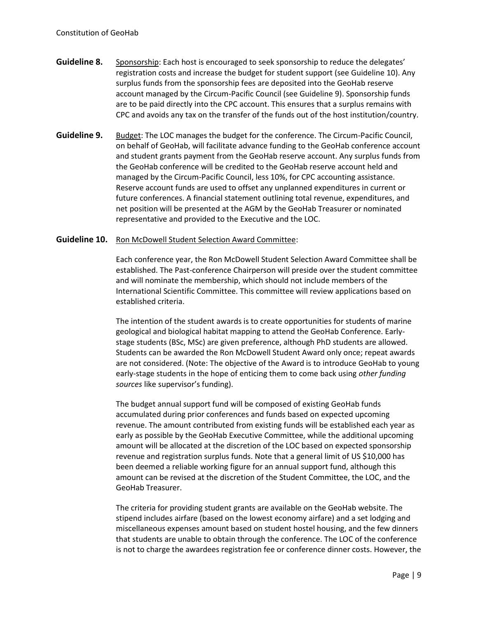- **Guideline 8.** Sponsorship: Each host is encouraged to seek sponsorship to reduce the delegates' registration costs and increase the budget for student support (see Guideline 10). Any surplus funds from the sponsorship fees are deposited into the GeoHab reserve account managed by the Circum-Pacific Council (see Guideline 9). Sponsorship funds are to be paid directly into the CPC account. This ensures that a surplus remains with CPC and avoids any tax on the transfer of the funds out of the host institution/country.
- **Guideline 9.** Budget: The LOC manages the budget for the conference. The Circum-Pacific Council, on behalf of GeoHab, will facilitate advance funding to the GeoHab conference account and student grants payment from the GeoHab reserve account. Any surplus funds from the GeoHab conference will be credited to the GeoHab reserve account held and managed by the Circum-Pacific Council, less 10%, for CPC accounting assistance. Reserve account funds are used to offset any unplanned expenditures in current or future conferences. A financial statement outlining total revenue, expenditures, and net position will be presented at the AGM by the GeoHab Treasurer or nominated representative and provided to the Executive and the LOC.

#### **Guideline 10.** Ron McDowell Student Selection Award Committee:

Each conference year, the Ron McDowell Student Selection Award Committee shall be established. The Past-conference Chairperson will preside over the student committee and will nominate the membership, which should not include members of the International Scientific Committee. This committee will review applications based on established criteria.

The intention of the student awards is to create opportunities for students of marine geological and biological habitat mapping to attend the GeoHab Conference. Earlystage students (BSc, MSc) are given preference, although PhD students are allowed. Students can be awarded the Ron McDowell Student Award only once; repeat awards are not considered. (Note: The objective of the Award is to introduce GeoHab to young early-stage students in the hope of enticing them to come back using *other funding sources* like supervisor's funding).

The budget annual support fund will be composed of existing GeoHab funds accumulated during prior conferences and funds based on expected upcoming revenue. The amount contributed from existing funds will be established each year as early as possible by the GeoHab Executive Committee, while the additional upcoming amount will be allocated at the discretion of the LOC based on expected sponsorship revenue and registration surplus funds. Note that a general limit of US \$10,000 has been deemed a reliable working figure for an annual support fund, although this amount can be revised at the discretion of the Student Committee, the LOC, and the GeoHab Treasurer.

The criteria for providing student grants are available on the GeoHab website. The stipend includes airfare (based on the lowest economy airfare) and a set lodging and miscellaneous expenses amount based on student hostel housing, and the few dinners that students are unable to obtain through the conference. The LOC of the conference is not to charge the awardees registration fee or conference dinner costs. However, the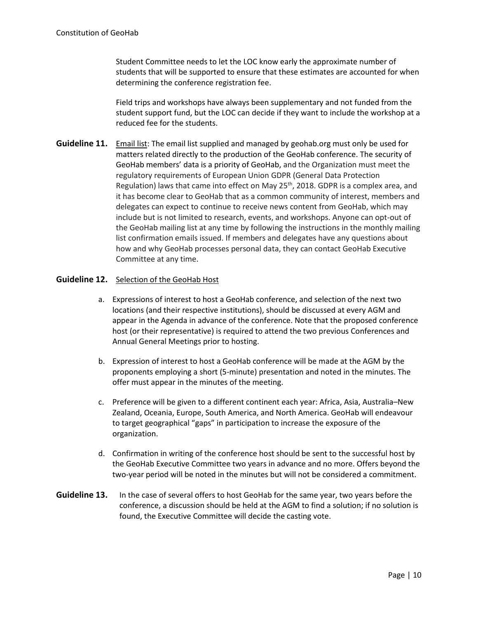Student Committee needs to let the LOC know early the approximate number of students that will be supported to ensure that these estimates are accounted for when determining the conference registration fee.

Field trips and workshops have always been supplementary and not funded from the student support fund, but the LOC can decide if they want to include the workshop at a reduced fee for the students.

**Guideline 11.** Email list: The email list supplied and managed by geohab.org must only be used for matters related directly to the production of the GeoHab conference. The security of GeoHab members' data is a priority of GeoHab, and the Organization must meet the regulatory requirements of European Union GDPR (General Data Protection Regulation) laws that came into effect on May 25<sup>th</sup>, 2018. GDPR is a complex area, and it has become clear to GeoHab that as a common community of interest, members and delegates can expect to continue to receive news content from GeoHab, which may include but is not limited to research, events, and workshops. Anyone can opt-out of the GeoHab mailing list at any time by following the instructions in the monthly mailing list confirmation emails issued. If members and delegates have any questions about how and why GeoHab processes personal data, they can contact GeoHab Executive Committee at any time.

#### Guideline 12. Selection of the GeoHab Host

- a. Expressions of interest to host a GeoHab conference, and selection of the next two locations (and their respective institutions), should be discussed at every AGM and appear in the Agenda in advance of the conference. Note that the proposed conference host (or their representative) is required to attend the two previous Conferences and Annual General Meetings prior to hosting.
- b. Expression of interest to host a GeoHab conference will be made at the AGM by the proponents employing a short (5-minute) presentation and noted in the minutes. The offer must appear in the minutes of the meeting.
- c. Preference will be given to a different continent each year: Africa, Asia, Australia–New Zealand, Oceania, Europe, South America, and North America. GeoHab will endeavour to target geographical "gaps" in participation to increase the exposure of the organization.
- d. Confirmation in writing of the conference host should be sent to the successful host by the GeoHab Executive Committee two years in advance and no more. Offers beyond the two-year period will be noted in the minutes but will not be considered a commitment.
- **Guideline 13.** In the case of several offers to host GeoHab for the same year, two years before the conference, a discussion should be held at the AGM to find a solution; if no solution is found, the Executive Committee will decide the casting vote.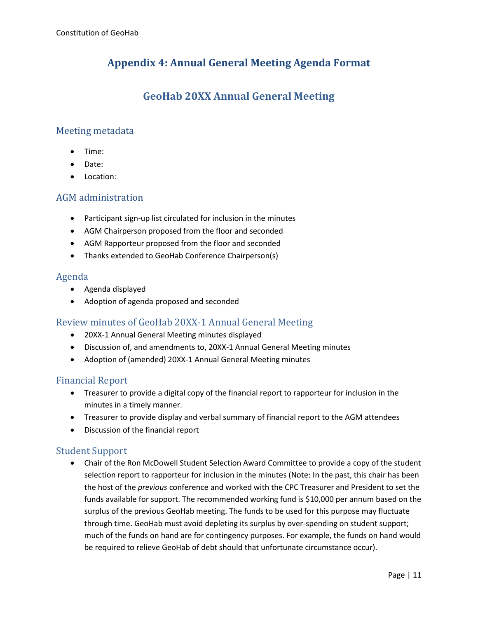## **Appendix 4: Annual General Meeting Agenda Format**

## **GeoHab 20XX Annual General Meeting**

#### Meeting metadata

- Time:
- Date:
- Location:

#### AGM administration

- Participant sign-up list circulated for inclusion in the minutes
- AGM Chairperson proposed from the floor and seconded
- AGM Rapporteur proposed from the floor and seconded
- Thanks extended to GeoHab Conference Chairperson(s)

#### Agenda

- Agenda displayed
- Adoption of agenda proposed and seconded

#### Review minutes of GeoHab 20XX-1 Annual General Meeting

- 20XX-1 Annual General Meeting minutes displayed
- Discussion of, and amendments to, 20XX-1 Annual General Meeting minutes
- Adoption of (amended) 20XX-1 Annual General Meeting minutes

#### Financial Report

- Treasurer to provide a digital copy of the financial report to rapporteur for inclusion in the minutes in a timely manner.
- Treasurer to provide display and verbal summary of financial report to the AGM attendees
- Discussion of the financial report

#### Student Support

• Chair of the Ron McDowell Student Selection Award Committee to provide a copy of the student selection report to rapporteur for inclusion in the minutes (Note: In the past, this chair has been the host of the *previous* conference and worked with the CPC Treasurer and President to set the funds available for support. The recommended working fund is \$10,000 per annum based on the surplus of the previous GeoHab meeting. The funds to be used for this purpose may fluctuate through time. GeoHab must avoid depleting its surplus by over-spending on student support; much of the funds on hand are for contingency purposes. For example, the funds on hand would be required to relieve GeoHab of debt should that unfortunate circumstance occur).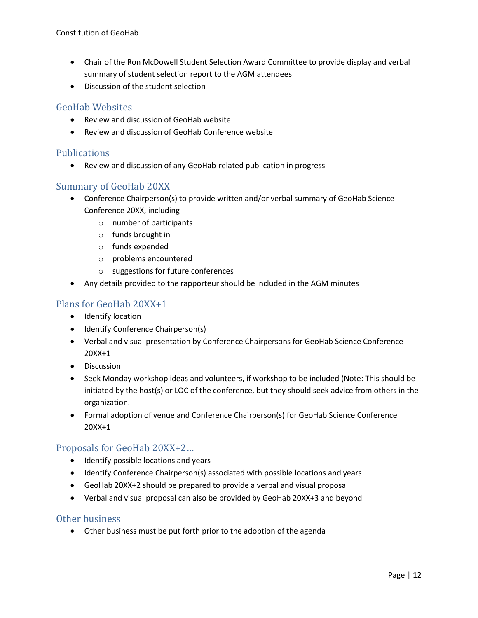- Chair of the Ron McDowell Student Selection Award Committee to provide display and verbal summary of student selection report to the AGM attendees
- Discussion of the student selection

#### GeoHab Websites

- Review and discussion of GeoHab website
- Review and discussion of GeoHab Conference website

#### **Publications**

• Review and discussion of any GeoHab-related publication in progress

#### Summary of GeoHab 20XX

- Conference Chairperson(s) to provide written and/or verbal summary of GeoHab Science Conference 20XX, including
	- o number of participants
	- o funds brought in
	- o funds expended
	- o problems encountered
	- o suggestions for future conferences
- Any details provided to the rapporteur should be included in the AGM minutes

#### Plans for GeoHab 20XX+1

- Identify location
- Identify Conference Chairperson(s)
- Verbal and visual presentation by Conference Chairpersons for GeoHab Science Conference 20XX+1
- Discussion
- Seek Monday workshop ideas and volunteers, if workshop to be included (Note: This should be initiated by the host(s) or LOC of the conference, but they should seek advice from others in the organization.
- Formal adoption of venue and Conference Chairperson(s) for GeoHab Science Conference 20XX+1

#### Proposals for GeoHab 20XX+2…

- Identify possible locations and years
- Identify Conference Chairperson(s) associated with possible locations and years
- GeoHab 20XX+2 should be prepared to provide a verbal and visual proposal
- Verbal and visual proposal can also be provided by GeoHab 20XX+3 and beyond

#### Other business

• Other business must be put forth prior to the adoption of the agenda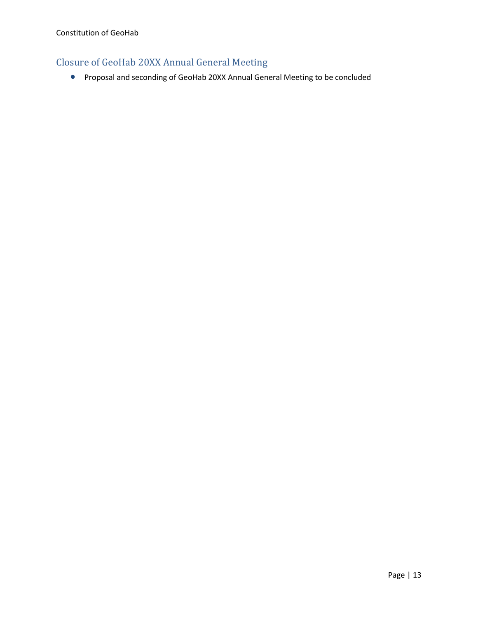## Closure of GeoHab 20XX Annual General Meeting

• Proposal and seconding of GeoHab 20XX Annual General Meeting to be concluded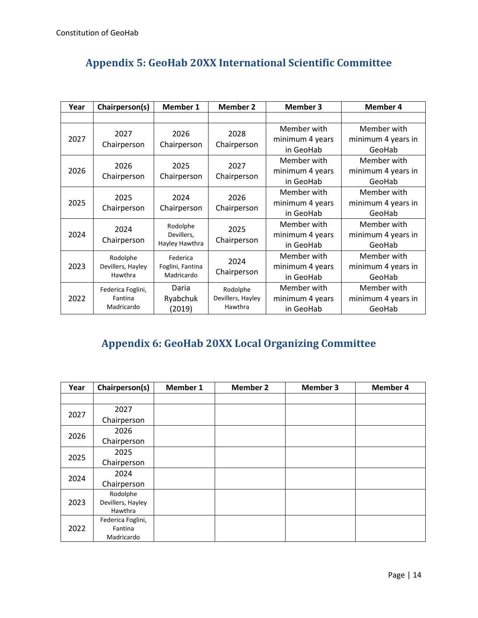|  |  | <b>Appendix 5: GeoHab 20XX International Scientific Committee</b> |
|--|--|-------------------------------------------------------------------|
|--|--|-------------------------------------------------------------------|

| Year | Chairperson(s)    | Member 1         | <b>Member 2</b>   | <b>Member 3</b> | <b>Member 4</b>    |
|------|-------------------|------------------|-------------------|-----------------|--------------------|
|      |                   |                  |                   |                 |                    |
|      | 2027              | 2026             | 2028              | Member with     | Member with        |
| 2027 | Chairperson       | Chairperson      | Chairperson       | minimum 4 years | minimum 4 years in |
|      |                   |                  |                   | in GeoHab       | GeoHab             |
|      | 2026              | 2025             | 2027              | Member with     | Member with        |
| 2026 | Chairperson       |                  | Chairperson       | minimum 4 years | minimum 4 years in |
|      |                   | Chairperson      |                   | in GeoHab       | GeoHab             |
|      | 2025              | 2024             | 2026              | Member with     | Member with        |
| 2025 | Chairperson       | Chairperson      | Chairperson       | minimum 4 years | minimum 4 years in |
|      |                   |                  |                   | in GeoHab       | GeoHab             |
|      | 2024              | Rodolphe         | 2025              | Member with     | Member with        |
| 2024 |                   | Devillers,       | Chairperson       | minimum 4 years | minimum 4 years in |
|      | Chairperson       | Hayley Hawthra   |                   | in GeoHab       | GeoHab             |
|      | Rodolphe          | Federica         | 2024              | Member with     | Member with        |
| 2023 | Devillers, Hayley | Foglini, Fantina |                   | minimum 4 years | minimum 4 years in |
|      | Hawthra           | Madricardo       | Chairperson       | in GeoHab       | GeoHab             |
|      | Federica Foglini, | Daria            | Rodolphe          | Member with     | Member with        |
| 2022 | Fantina           | Ryabchuk         | Devillers, Hayley | minimum 4 years | minimum 4 years in |
|      | Madricardo        | (2019)           | Hawthra           | in GeoHab       | GeoHab             |

# **Appendix 6: GeoHab 20XX Local Organizing Committee**

| Year | Chairperson(s)    | <b>Member 1</b> | <b>Member 2</b> | <b>Member 3</b> | <b>Member 4</b> |
|------|-------------------|-----------------|-----------------|-----------------|-----------------|
|      |                   |                 |                 |                 |                 |
| 2027 | 2027              |                 |                 |                 |                 |
|      | Chairperson       |                 |                 |                 |                 |
|      | 2026              |                 |                 |                 |                 |
| 2026 | Chairperson       |                 |                 |                 |                 |
| 2025 | 2025              |                 |                 |                 |                 |
|      | Chairperson       |                 |                 |                 |                 |
| 2024 | 2024              |                 |                 |                 |                 |
|      | Chairperson       |                 |                 |                 |                 |
|      | Rodolphe          |                 |                 |                 |                 |
| 2023 | Devillers, Hayley |                 |                 |                 |                 |
|      | Hawthra           |                 |                 |                 |                 |
| 2022 | Federica Foglini, |                 |                 |                 |                 |
|      | Fantina           |                 |                 |                 |                 |
|      | Madricardo        |                 |                 |                 |                 |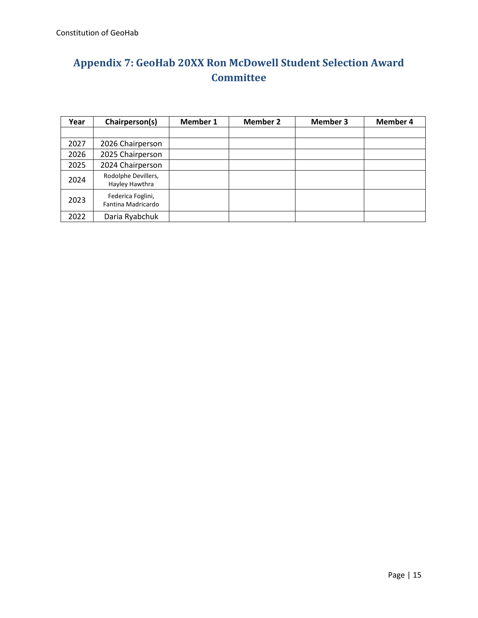# **Appendix 7: GeoHab 20XX Ron McDowell Student Selection Award Committee**

| Year | Chairperson(s)                          | <b>Member 1</b> | <b>Member 2</b> | <b>Member 3</b> | <b>Member 4</b> |
|------|-----------------------------------------|-----------------|-----------------|-----------------|-----------------|
|      |                                         |                 |                 |                 |                 |
| 2027 | 2026 Chairperson                        |                 |                 |                 |                 |
| 2026 | 2025 Chairperson                        |                 |                 |                 |                 |
| 2025 | 2024 Chairperson                        |                 |                 |                 |                 |
| 2024 | Rodolphe Devillers,<br>Hayley Hawthra   |                 |                 |                 |                 |
| 2023 | Federica Foglini,<br>Fantina Madricardo |                 |                 |                 |                 |
| 2022 | Daria Ryabchuk                          |                 |                 |                 |                 |